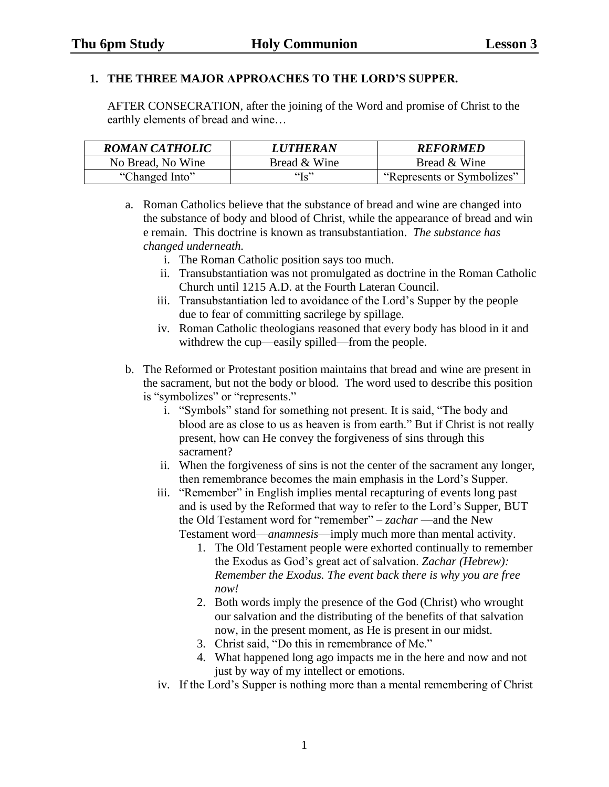## **1. THE THREE MAJOR APPROACHES TO THE LORD'S SUPPER.**

AFTER CONSECRATION, after the joining of the Word and promise of Christ to the earthly elements of bread and wine…

| <b>ROMAN CATHOLIC</b> | <i><b>LUTHERAN</b></i> | <b>REFORMED</b>            |
|-----------------------|------------------------|----------------------------|
| No Bread, No Wine     | Bread & Wine           | Bread & Wine               |
| "Changed Into"        | " $\iota$ "            | "Represents or Symbolizes" |

a. Roman Catholics believe that the substance of bread and wine are changed into the substance of body and blood of Christ, while the appearance of bread and win e remain. This doctrine is known as transubstantiation. *The substance has changed underneath.*

- i. The Roman Catholic position says too much.
- ii. Transubstantiation was not promulgated as doctrine in the Roman Catholic Church until 1215 A.D. at the Fourth Lateran Council.
- iii. Transubstantiation led to avoidance of the Lord's Supper by the people due to fear of committing sacrilege by spillage.
- iv. Roman Catholic theologians reasoned that every body has blood in it and withdrew the cup—easily spilled—from the people.
- b. The Reformed or Protestant position maintains that bread and wine are present in the sacrament, but not the body or blood. The word used to describe this position is "symbolizes" or "represents."
	- i. "Symbols" stand for something not present. It is said, "The body and blood are as close to us as heaven is from earth." But if Christ is not really present, how can He convey the forgiveness of sins through this sacrament?
	- ii. When the forgiveness of sins is not the center of the sacrament any longer, then remembrance becomes the main emphasis in the Lord's Supper.
	- iii. "Remember" in English implies mental recapturing of events long past and is used by the Reformed that way to refer to the Lord's Supper, BUT the Old Testament word for "remember" – *zachar* —and the New Testament word—*anamnesis*—imply much more than mental activity.

- 1. The Old Testament people were exhorted continually to remember the Exodus as God's great act of salvation. *Zachar (Hebrew): Remember the Exodus. The event back there is why you are free now!*
- 2. Both words imply the presence of the God (Christ) who wrought our salvation and the distributing of the benefits of that salvation now, in the present moment, as He is present in our midst.
- 3. Christ said, "Do this in remembrance of Me."
- 4. What happened long ago impacts me in the here and now and not just by way of my intellect or emotions.
- iv. If the Lord's Supper is nothing more than a mental remembering of Christ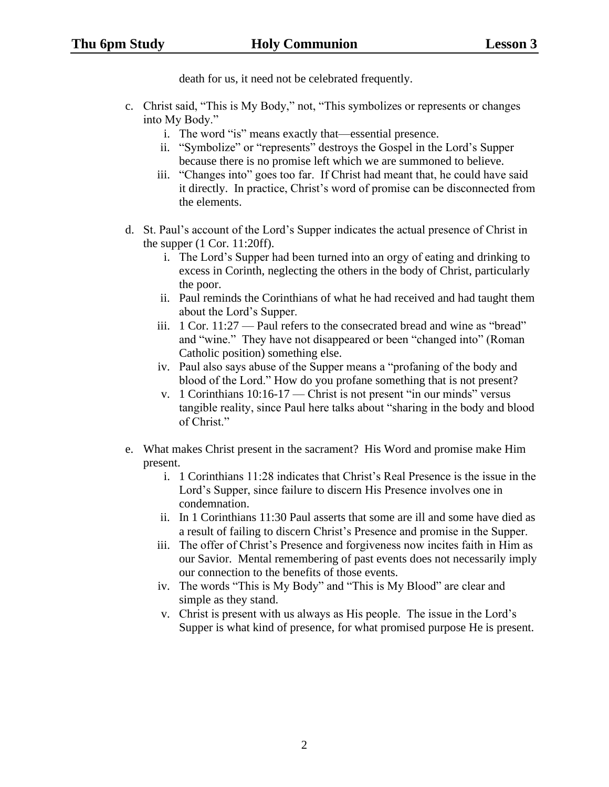death for us, it need not be celebrated frequently.

- c. Christ said, "This is My Body," not, "This symbolizes or represents or changes into My Body."
	- i. The word "is" means exactly that—essential presence.
	- ii. "Symbolize" or "represents" destroys the Gospel in the Lord's Supper because there is no promise left which we are summoned to believe.
	- iii. "Changes into" goes too far. If Christ had meant that, he could have said it directly. In practice, Christ's word of promise can be disconnected from the elements.
- d. St. Paul's account of the Lord's Supper indicates the actual presence of Christ in the supper (1 Cor. 11:20ff).
	- i. The Lord's Supper had been turned into an orgy of eating and drinking to excess in Corinth, neglecting the others in the body of Christ, particularly the poor.
	- ii. Paul reminds the Corinthians of what he had received and had taught them about the Lord's Supper.
	- iii. 1 Cor. 11:27 Paul refers to the consecrated bread and wine as "bread" and "wine." They have not disappeared or been "changed into" (Roman Catholic position) something else.
	- iv. Paul also says abuse of the Supper means a "profaning of the body and blood of the Lord." How do you profane something that is not present?
	- v. 1 Corinthians 10:16-17 Christ is not present "in our minds" versus tangible reality, since Paul here talks about "sharing in the body and blood of Christ."
- e. What makes Christ present in the sacrament? His Word and promise make Him present.
	- i. 1 Corinthians 11:28 indicates that Christ's Real Presence is the issue in the Lord's Supper, since failure to discern His Presence involves one in condemnation.
	- ii. In 1 Corinthians 11:30 Paul asserts that some are ill and some have died as a result of failing to discern Christ's Presence and promise in the Supper.
	- iii. The offer of Christ's Presence and forgiveness now incites faith in Him as our Savior. Mental remembering of past events does not necessarily imply our connection to the benefits of those events.
	- iv. The words "This is My Body" and "This is My Blood" are clear and simple as they stand.
	- v. Christ is present with us always as His people. The issue in the Lord's Supper is what kind of presence, for what promised purpose He is present.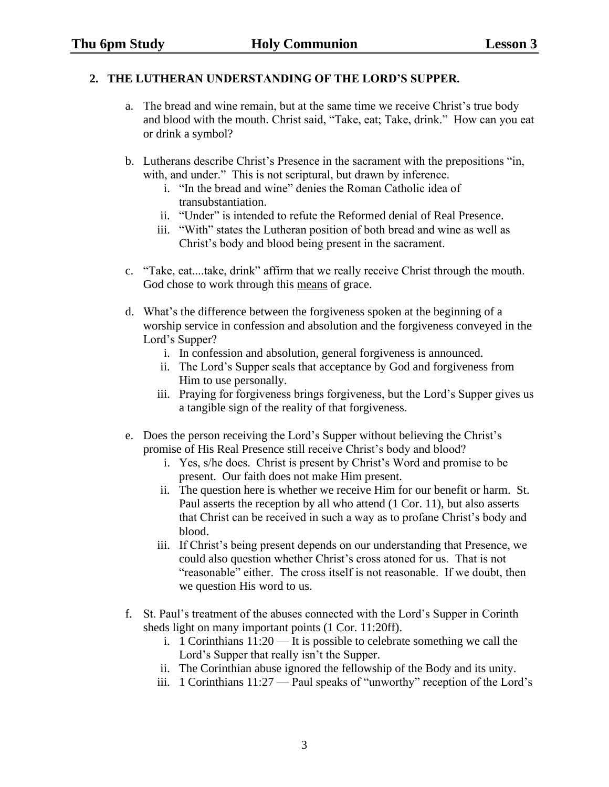## **2. THE LUTHERAN UNDERSTANDING OF THE LORD'S SUPPER.**

- a. The bread and wine remain, but at the same time we receive Christ's true body and blood with the mouth. Christ said, "Take, eat; Take, drink." How can you eat or drink a symbol?
- b. Lutherans describe Christ's Presence in the sacrament with the prepositions "in, with, and under." This is not scriptural, but drawn by inference.
	- i. "In the bread and wine" denies the Roman Catholic idea of transubstantiation.
	- ii. "Under" is intended to refute the Reformed denial of Real Presence.
	- iii. "With" states the Lutheran position of both bread and wine as well as Christ's body and blood being present in the sacrament.
- c. "Take, eat....take, drink" affirm that we really receive Christ through the mouth. God chose to work through this means of grace.
- d. What's the difference between the forgiveness spoken at the beginning of a worship service in confession and absolution and the forgiveness conveyed in the Lord's Supper?
	- i. In confession and absolution, general forgiveness is announced.
	- ii. The Lord's Supper seals that acceptance by God and forgiveness from Him to use personally.
	- iii. Praying for forgiveness brings forgiveness, but the Lord's Supper gives us a tangible sign of the reality of that forgiveness.
- e. Does the person receiving the Lord's Supper without believing the Christ's promise of His Real Presence still receive Christ's body and blood?
	- i. Yes, s/he does. Christ is present by Christ's Word and promise to be present. Our faith does not make Him present.
	- ii. The question here is whether we receive Him for our benefit or harm. St. Paul asserts the reception by all who attend (1 Cor. 11), but also asserts that Christ can be received in such a way as to profane Christ's body and blood.
	- iii. If Christ's being present depends on our understanding that Presence, we could also question whether Christ's cross atoned for us. That is not "reasonable" either. The cross itself is not reasonable. If we doubt, then we question His word to us.
- f. St. Paul's treatment of the abuses connected with the Lord's Supper in Corinth sheds light on many important points (1 Cor. 11:20ff).
	- i. 1 Corinthians 11:20 It is possible to celebrate something we call the Lord's Supper that really isn't the Supper.
	- ii. The Corinthian abuse ignored the fellowship of the Body and its unity.
	- iii. 1 Corinthians 11:27 Paul speaks of "unworthy" reception of the Lord's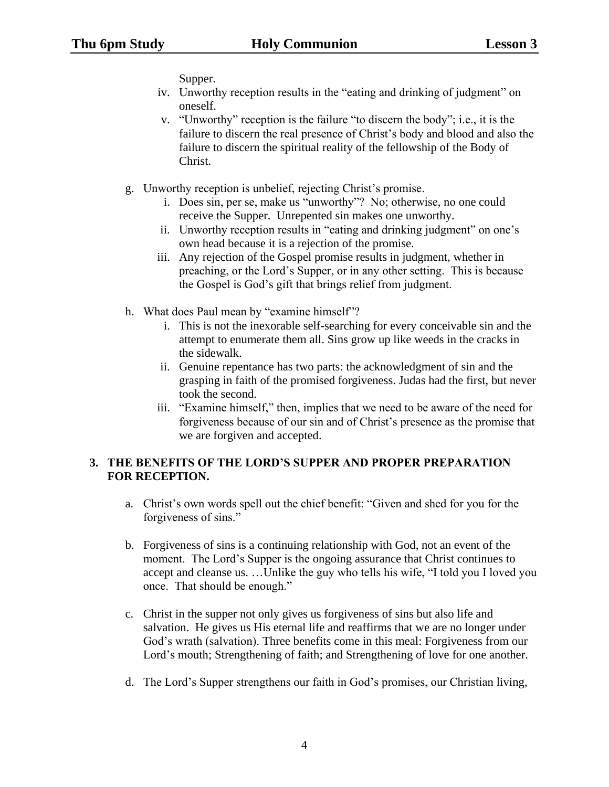Supper.

- iv. Unworthy reception results in the "eating and drinking of judgment" on oneself.
- v. "Unworthy" reception is the failure "to discern the body"; i.e., it is the failure to discern the real presence of Christ's body and blood and also the failure to discern the spiritual reality of the fellowship of the Body of Christ.
- g. Unworthy reception is unbelief, rejecting Christ's promise.
	- i. Does sin, per se, make us "unworthy"? No; otherwise, no one could receive the Supper. Unrepented sin makes one unworthy.
	- ii. Unworthy reception results in "eating and drinking judgment" on one's own head because it is a rejection of the promise.
	- iii. Any rejection of the Gospel promise results in judgment, whether in preaching, or the Lord's Supper, or in any other setting. This is because the Gospel is God's gift that brings relief from judgment.
- h. What does Paul mean by "examine himself"?
	- i. This is not the inexorable self-searching for every conceivable sin and the attempt to enumerate them all. Sins grow up like weeds in the cracks in the sidewalk.
	- ii. Genuine repentance has two parts: the acknowledgment of sin and the grasping in faith of the promised forgiveness. Judas had the first, but never took the second.
	- iii. "Examine himself," then, implies that we need to be aware of the need for forgiveness because of our sin and of Christ's presence as the promise that we are forgiven and accepted.

## **3. THE BENEFITS OF THE LORD'S SUPPER AND PROPER PREPARATION FOR RECEPTION.**

- a. Christ's own words spell out the chief benefit: "Given and shed for you for the forgiveness of sins."
- b. Forgiveness of sins is a continuing relationship with God, not an event of the moment. The Lord's Supper is the ongoing assurance that Christ continues to accept and cleanse us. …Unlike the guy who tells his wife, "I told you I loved you once. That should be enough."
- c. Christ in the supper not only gives us forgiveness of sins but also life and salvation. He gives us His eternal life and reaffirms that we are no longer under God's wrath (salvation). Three benefits come in this meal: Forgiveness from our Lord's mouth; Strengthening of faith; and Strengthening of love for one another.
- d. The Lord's Supper strengthens our faith in God's promises, our Christian living,